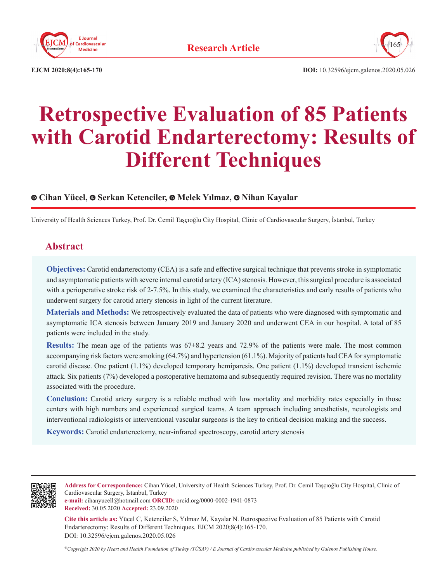



**EJCM 2020;8(4):165-170 DOI:** 10.32596/ejcm.galenos.2020.05.026

# **Retrospective Evaluation of 85 Patients with Carotid Endarterectomy: Results of Different Techniques**

## **Cihan Yücel, Serkan Ketenciler, Melek Yılmaz, Nihan Kayalar**

University of Health Sciences Turkey, Prof. Dr. Cemil Taşçıoğlu City Hospital, Clinic of Cardiovascular Surgery, İstanbul, Turkey

# **Abstract**

**Objectives:** Carotid endarterectomy (CEA) is a safe and effective surgical technique that prevents stroke in symptomatic and asymptomatic patients with severe internal carotid artery (ICA) stenosis. However, this surgical procedure is associated with a perioperative stroke risk of 2-7.5%. In this study, we examined the characteristics and early results of patients who underwent surgery for carotid artery stenosis in light of the current literature.

**Materials and Methods:** We retrospectively evaluated the data of patients who were diagnosed with symptomatic and asymptomatic ICA stenosis between January 2019 and January 2020 and underwent CEA in our hospital. A total of 85 patients were included in the study.

**Results:** The mean age of the patients was  $67\pm8.2$  years and 72.9% of the patients were male. The most common accompanying risk factors were smoking (64.7%) and hypertension (61.1%). Majority of patients had CEA for symptomatic carotid disease. One patient (1.1%) developed temporary hemiparesis. One patient (1.1%) developed transient ischemic attack. Six patients (7%) developed a postoperative hematoma and subsequently required revision. There was no mortality associated with the procedure.

**Conclusion:** Carotid artery surgery is a reliable method with low mortality and morbidity rates especially in those centers with high numbers and experienced surgical teams. A team approach including anesthetists, neurologists and interventional radiologists or interventional vascular surgeons is the key to critical decision making and the success.

**Keywords:** Carotid endarterectomy, near-infrared spectroscopy, carotid artery stenosis



**Address for Correspondence:** Cihan Yücel, University of Health Sciences Turkey, Prof. Dr. Cemil Taşçıoğlu City Hospital, Clinic of Cardiovascular Surgery, İstanbul, Turkey

**e-mail:** cihanyucell@hotmail.com **ORCID:** orcid.org/0000-0002-1941-0873 **Received:** 30.05.2020 **Accepted:** 23.09.2020

**Cite this article as:** Yücel C, Ketenciler S, Yılmaz M, Kayalar N. Retrospective Evaluation of 85 Patients with Carotid Endarterectomy: Results of Different Techniques. EJCM 2020;8(4):165-170. DOI: 10.32596/ejcm.galenos.2020.05.026

*©Copyright 2020 by Heart and Health Foundation of Turkey (TÜSAV) / E Journal of Cardiovascular Medicine published by Galenos Publishing House.*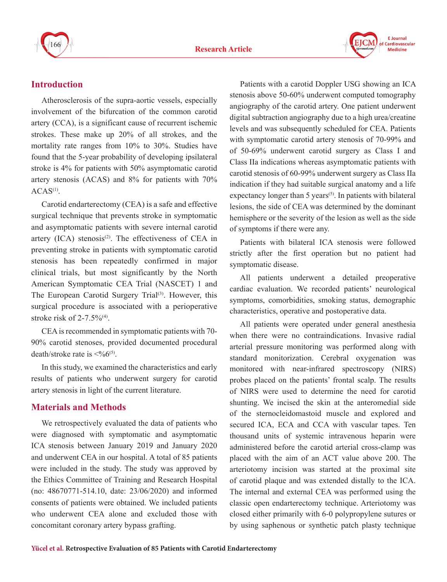



# **Introduction**

Atherosclerosis of the supra-aortic vessels, especially involvement of the bifurcation of the common carotid artery (CCA), is a significant cause of recurrent ischemic strokes. These make up 20% of all strokes, and the mortality rate ranges from 10% to 30%. Studies have found that the 5-year probability of developing ipsilateral stroke is 4% for patients with 50% asymptomatic carotid artery stenosis (ACAS) and 8% for patients with 70%  $ACAS<sup>(1)</sup>$ .

Carotid endarterectomy (CEA) is a safe and effective surgical technique that prevents stroke in symptomatic and asymptomatic patients with severe internal carotid artery  $(ICA)$  stenosis<sup> $(2)$ </sup>. The effectiveness of CEA in preventing stroke in patients with symptomatic carotid stenosis has been repeatedly confirmed in major clinical trials, but most significantly by the North American Symptomatic CEA Trial (NASCET) 1 and The European Carotid Surgery Trial<sup>(3)</sup>. However, this surgical procedure is associated with a perioperative stroke risk of  $2-7.5\%$ <sup>(4)</sup>.

CEA is recommended in symptomatic patients with 70- 90% carotid stenoses, provided documented procedural death/stroke rate is  $\leq^{0}6^{(5)}$ .

In this study, we examined the characteristics and early results of patients who underwent surgery for carotid artery stenosis in light of the current literature.

# **Materials and Methods**

We retrospectively evaluated the data of patients who were diagnosed with symptomatic and asymptomatic ICA stenosis between January 2019 and January 2020 and underwent CEA in our hospital. A total of 85 patients were included in the study. The study was approved by the Ethics Committee of Training and Research Hospital (no: 48670771-514.10, date: 23/06/2020) and informed consents of patients were obtained. We included patients who underwent CEA alone and excluded those with concomitant coronary artery bypass grafting.

Patients with a carotid Doppler USG showing an ICA stenosis above 50-60% underwent computed tomography angiography of the carotid artery. One patient underwent digital subtraction angiography due to a high urea/creatine levels and was subsequently scheduled for CEA. Patients with symptomatic carotid artery stenosis of 70-99% and of 50-69% underwent carotid surgery as Class I and Class IIa indications whereas asymptomatic patients with carotid stenosis of 60-99% underwent surgery as Class IIa indication if they had suitable surgical anatomy and a life expectancy longer than  $5$  years<sup> $(5)$ </sup>. In patients with bilateral lesions, the side of CEA was determined by the dominant hemisphere or the severity of the lesion as well as the side of symptoms if there were any.

Patients with bilateral ICA stenosis were followed strictly after the first operation but no patient had symptomatic disease.

All patients underwent a detailed preoperative cardiac evaluation. We recorded patients' neurological symptoms, comorbidities, smoking status, demographic characteristics, operative and postoperative data.

All patients were operated under general anesthesia when there were no contraindications. Invasive radial arterial pressure monitoring was performed along with standard monitorization. Cerebral oxygenation was monitored with near-infrared spectroscopy (NIRS) probes placed on the patients' frontal scalp. The results of NIRS were used to determine the need for carotid shunting. We incised the skin at the anteromedial side of the sternocleidomastoid muscle and explored and secured ICA, ECA and CCA with vascular tapes. Ten thousand units of systemic intravenous heparin were administered before the carotid arterial cross-clamp was placed with the aim of an ACT value above 200. The arteriotomy incision was started at the proximal site of carotid plaque and was extended distally to the ICA. The internal and external CEA was performed using the classic open endarterectomy technique. Arteriotomy was closed either primarily with 6-0 polypropylene sutures or by using saphenous or synthetic patch plasty technique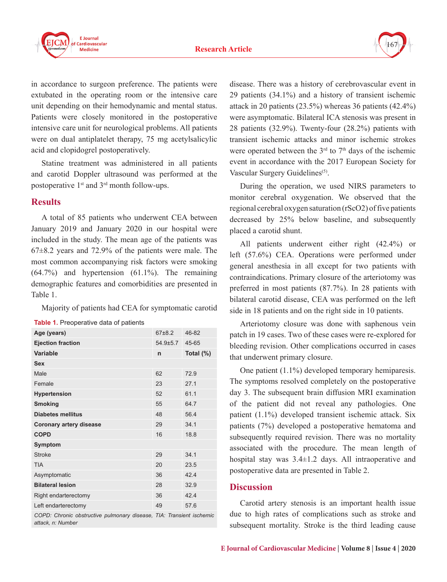

in accordance to surgeon preference. The patients were extubated in the operating room or the intensive care unit depending on their hemodynamic and mental status. Patients were closely monitored in the postoperative intensive care unit for neurological problems. All patients were on dual antiplatelet therapy, 75 mg acetylsalicylic acid and clopidogrel postoperatively.

Statine treatment was administered in all patients and carotid Doppler ultrasound was performed at the postoperative 1<sup>st</sup> and 3<sup>rd</sup> month follow-ups.

#### **Results**

A total of 85 patients who underwent CEA between January 2019 and January 2020 in our hospital were included in the study. The mean age of the patients was 67±8.2 years and 72.9% of the patients were male. The most common accompanying risk factors were smoking (64.7%) and hypertension (61.1%). The remaining demographic features and comorbidities are presented in Table 1.

Majority of patients had CEA for symptomatic carotid

| Age (years)                    | 67±8.2   | 46-82                              |  |
|--------------------------------|----------|------------------------------------|--|
| <b>Ejection fraction</b>       | 54.9±5.7 | 45-65                              |  |
| Variable                       | n        | Total $(\%)$                       |  |
| <b>Sex</b>                     |          |                                    |  |
| Male                           | 62       | 72.9                               |  |
| Female                         | 23       | 271                                |  |
| <b>Hypertension</b>            | 52       | 61.1                               |  |
| <b>Smoking</b>                 | 55       | 64.7                               |  |
| <b>Diabetes mellitus</b>       | 48       | 56.4                               |  |
| <b>Coronary artery disease</b> | 29       | 34.1                               |  |
| <b>COPD</b>                    | 16       | 18.8                               |  |
| <b>Symptom</b>                 |          |                                    |  |
| <b>Stroke</b>                  | 29       | 34.1                               |  |
| <b>TIA</b>                     | 20       | 23.5                               |  |
| Asymptomatic                   | 36       | 42.4                               |  |
| <b>Bilateral lesion</b>        | 28       | 32.9                               |  |
| Right endarterectomy           | 36       | 42.4                               |  |
| Left endarterectomy            | 49       | 57.6                               |  |
| $\sim$                         |          | $\tau$ $\tau$ $\tau$ $\tau$ $\tau$ |  |

**Table 1.** Preoperative data of patients

*COPD: Chronic obstructive pulmonary disease, TIA: Transient ischemic attack, n: Number*

disease. There was a history of cerebrovascular event in 29 patients (34.1%) and a history of transient ischemic attack in 20 patients (23.5%) whereas 36 patients (42.4%) were asymptomatic. Bilateral ICA stenosis was present in 28 patients (32.9%). Twenty-four (28.2%) patients with transient ischemic attacks and minor ischemic strokes were operated between the  $3<sup>rd</sup>$  to  $7<sup>th</sup>$  days of the ischemic event in accordance with the 2017 European Society for Vascular Surgery Guidelines<sup>(5)</sup>.

During the operation, we used NIRS parameters to monitor cerebral oxygenation. We observed that the regional cerebral oxygen saturation (rScO2) of five patients decreased by 25% below baseline, and subsequently placed a carotid shunt.

All patients underwent either right (42.4%) or left (57.6%) CEA. Operations were performed under general anesthesia in all except for two patients with contraindications. Primary closure of the arteriotomy was preferred in most patients (87.7%). In 28 patients with bilateral carotid disease, CEA was performed on the left side in 18 patients and on the right side in 10 patients.

Arteriotomy closure was done with saphenous vein patch in 19 cases. Two of these cases were re-explored for bleeding revision. Other complications occurred in cases that underwent primary closure.

One patient (1.1%) developed temporary hemiparesis. The symptoms resolved completely on the postoperative day 3. The subsequent brain diffusion MRI examination of the patient did not reveal any pathologies. One patient (1.1%) developed transient ischemic attack. Six patients (7%) developed a postoperative hematoma and subsequently required revision. There was no mortality associated with the procedure. The mean length of hospital stay was 3.4±1.2 days. All intraoperative and postoperative data are presented in Table 2.

#### **Discussion**

Carotid artery stenosis is an important health issue due to high rates of complications such as stroke and subsequent mortality. Stroke is the third leading cause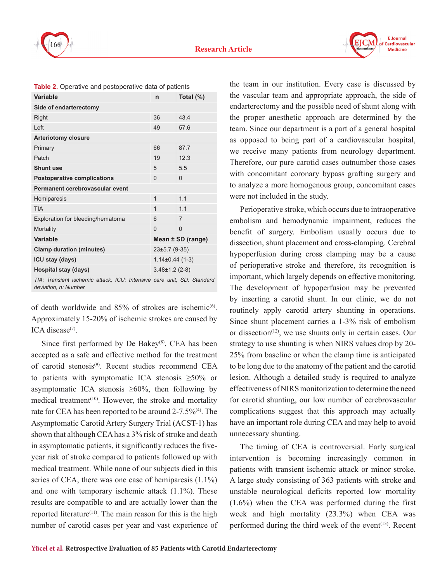

| Variable                                                                                       | n                  | Total (%)      |  |
|------------------------------------------------------------------------------------------------|--------------------|----------------|--|
| Side of endarterectomy                                                                         |                    |                |  |
| Right                                                                                          | 36                 | 434            |  |
| Left                                                                                           | 49                 | 57.6           |  |
| <b>Arteriotomy closure</b>                                                                     |                    |                |  |
| Primary                                                                                        | 66                 | 87.7           |  |
| Patch                                                                                          | 19                 | 12.3           |  |
| <b>Shunt use</b>                                                                               | 5                  | 5.5            |  |
| <b>Postoperative complications</b>                                                             | $\Omega$           | $\Omega$       |  |
| Permanent cerebrovascular event                                                                |                    |                |  |
| Hemiparesis                                                                                    | $\mathbf 1$        | 11             |  |
| <b>TIA</b>                                                                                     | $\mathbf{1}$       | 11             |  |
| Exploration for bleeding/hematoma                                                              | 6                  | $\overline{7}$ |  |
| Mortality                                                                                      | $\Omega$           | $\Omega$       |  |
| Variable                                                                                       | Mean ± SD (range)  |                |  |
| <b>Clamp duration (minutes)</b>                                                                | 23±5.7 (9-35)      |                |  |
| ICU stay (days)                                                                                | $1.14\pm0.44(1-3)$ |                |  |
| Hospital stay (days)                                                                           | $3.48\pm1.2$ (2-8) |                |  |
| TIA: Transient ischemic attack, ICU: Intensive care unit, SD: Standard<br>deviation, n: Number |                    |                |  |

|  | Table 2. Operative and postoperative data of patients |
|--|-------------------------------------------------------|
|--|-------------------------------------------------------|

of death worldwide and  $85%$  of strokes are ischemic<sup>(6)</sup>. Approximately 15-20% of ischemic strokes are caused by ICA disease $(7)$ .

Since first performed by De Bakey $(8)$ , CEA has been accepted as a safe and effective method for the treatment of carotid stenosis<sup>(9)</sup>. Recent studies recommend CEA to patients with symptomatic ICA stenosis  $\geq 50\%$  or asymptomatic ICA stenosis  $\geq 60\%$ , then following by medical treatment<sup>(10)</sup>. However, the stroke and mortality rate for CEA has been reported to be around 2-7.5%<sup>(4)</sup>. The Asymptomatic Carotid Artery Surgery Trial (ACST-1) has shown that although CEA has a 3% risk of stroke and death in asymptomatic patients, it significantly reduces the fiveyear risk of stroke compared to patients followed up with medical treatment. While none of our subjects died in this series of CEA, there was one case of hemiparesis  $(1.1\%)$ and one with temporary ischemic attack (1.1%). These results are compatible to and are actually lower than the reported literature<sup> $(11)$ </sup>. The main reason for this is the high number of carotid cases per year and vast experience of the team in our institution. Every case is discussed by the vascular team and appropriate approach, the side of endarterectomy and the possible need of shunt along with the proper anesthetic approach are determined by the team. Since our department is a part of a general hospital as opposed to being part of a cardiovascular hospital, we receive many patients from neurology department. Therefore, our pure carotid cases outnumber those cases with concomitant coronary bypass grafting surgery and to analyze a more homogenous group, concomitant cases were not included in the study.

Perioperative stroke, which occurs due to intraoperative embolism and hemodynamic impairment, reduces the benefit of surgery. Embolism usually occurs due to dissection, shunt placement and cross-clamping. Cerebral hypoperfusion during cross clamping may be a cause of perioperative stroke and therefore, its recognition is important, which largely depends on effective monitoring. The development of hypoperfusion may be prevented by inserting a carotid shunt. In our clinic, we do not routinely apply carotid artery shunting in operations. Since shunt placement carries a 1-3% risk of embolism or dissection(12), we use shunts only in certain cases. Our strategy to use shunting is when NIRS values drop by 20- 25% from baseline or when the clamp time is anticipated to be long due to the anatomy of the patient and the carotid lesion. Although a detailed study is required to analyze effectiveness of NIRS monitorization to determine the need for carotid shunting, our low number of cerebrovascular complications suggest that this approach may actually have an important role during CEA and may help to avoid unnecessary shunting.

The timing of CEA is controversial. Early surgical intervention is becoming increasingly common in patients with transient ischemic attack or minor stroke. A large study consisting of 363 patients with stroke and unstable neurological deficits reported low mortality (1.6%) when the CEA was performed during the first week and high mortality (23.3%) when CEA was performed during the third week of the event $(13)$ . Recent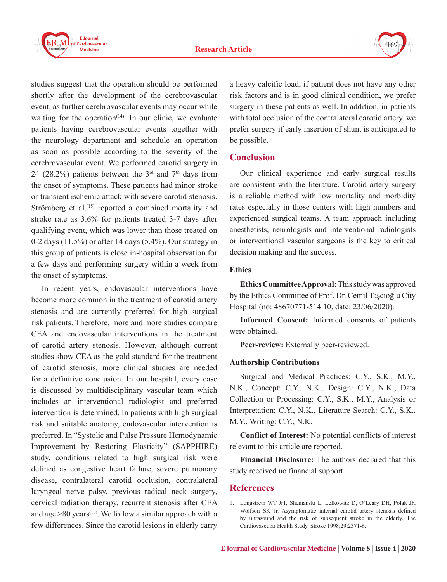

studies suggest that the operation should be performed shortly after the development of the cerebrovascular event, as further cerebrovascular events may occur while waiting for the operation<sup> $(14)$ </sup>. In our clinic, we evaluate patients having cerebrovascular events together with the neurology department and schedule an operation as soon as possible according to the severity of the cerebrovascular event. We performed carotid surgery in 24 (28.2%) patients between the  $3<sup>rd</sup>$  and  $7<sup>th</sup>$  days from the onset of symptoms. These patients had minor stroke or transient ischemic attack with severe carotid stenosis. Strömberg et al.<sup>(15)</sup> reported a combined mortality and stroke rate as 3.6% for patients treated 3-7 days after qualifying event, which was lower than those treated on 0-2 days (11.5%) or after 14 days (5.4%). Our strategy in this group of patients is close in-hospital observation for a few days and performing surgery within a week from the onset of symptoms.

In recent years, endovascular interventions have become more common in the treatment of carotid artery stenosis and are currently preferred for high surgical risk patients. Therefore, more and more studies compare CEA and endovascular interventions in the treatment of carotid artery stenosis. However, although current studies show CEA as the gold standard for the treatment of carotid stenosis, more clinical studies are needed for a definitive conclusion. In our hospital, every case is discussed by multidisciplinary vascular team which includes an interventional radiologist and preferred intervention is determined. In patients with high surgical risk and suitable anatomy, endovascular intervention is preferred. In "Systolic and Pulse Pressure Hemodynamic Improvement by Restoring Elasticity" (SAPPHIRE) study, conditions related to high surgical risk were defined as congestive heart failure, severe pulmonary disease, contralateral carotid occlusion, contralateral laryngeal nerve palsy, previous radical neck surgery, cervical radiation therapy, recurrent stenosis after CEA and age  $>80$  years<sup>(16)</sup>. We follow a similar approach with a few differences. Since the carotid lesions in elderly carry

a heavy calcific load, if patient does not have any other risk factors and is in good clinical condition, we prefer surgery in these patients as well. In addition, in patients with total occlusion of the contralateral carotid artery, we prefer surgery if early insertion of shunt is anticipated to be possible.

## **Conclusion**

Our clinical experience and early surgical results are consistent with the literature. Carotid artery surgery is a reliable method with low mortality and morbidity rates especially in those centers with high numbers and experienced surgical teams. A team approach including anesthetists, neurologists and interventional radiologists or interventional vascular surgeons is the key to critical decision making and the success.

#### **Ethics**

**Ethics Committee Approval:** This study was approved by the Ethics Committee of Prof. Dr. Cemil Taşcıoğlu City Hospital (no: 48670771-514.10, date: 23/06/2020).

**Informed Consent:** Informed consents of patients were obtained.

**Peer-review:** Externally peer-reviewed.

#### **Authorship Contributions**

Surgical and Medical Practices: C.Y., S.K., M.Y., N.K., Concept: C.Y., N.K., Design: C.Y., N.K., Data Collection or Processing: C.Y., S.K., M.Y., Analysis or Interpretation: C.Y., N.K., Literature Search: C.Y., S.K., M.Y., Writing: C.Y., N.K.

**Conflict of Interest:** No potential conflicts of interest relevant to this article are reported.

**Financial Disclosure:** The authors declared that this study received no financial support.

# **References**

1. Longstreth WT Jr1, Shemanski L, Lefkowitz D, O'Leary DH, Polak JF, Wolfson SK Jr. Asymptomatic internal carotid artery stenosis defined by ultrasound and the risk of subsequent stroke in the elderly. The Cardiovascular Health Study. Stroke 1998;29:2371-6.